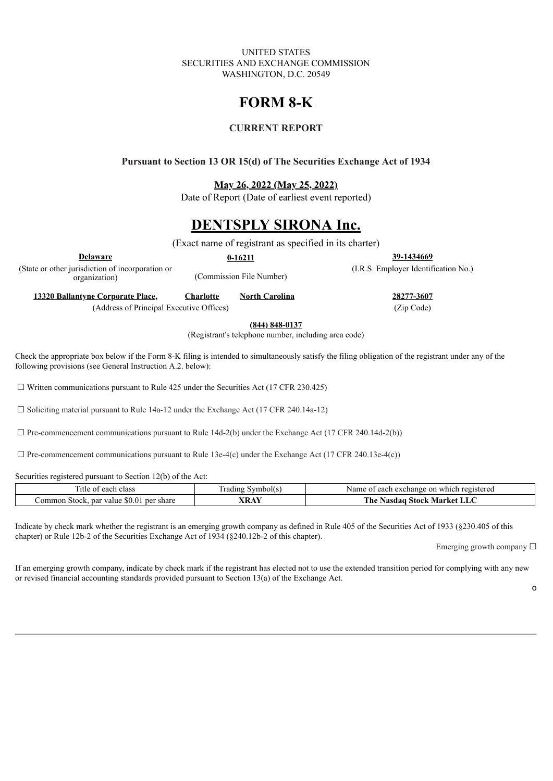UNITED STATES SECURITIES AND EXCHANGE COMMISSION WASHINGTON, D.C. 20549

# **FORM 8-K**

## **CURRENT REPORT**

### **Pursuant to Section 13 OR 15(d) of The Securities Exchange Act of 1934**

**May 26, 2022 (May 25, 2022)**

Date of Report (Date of earliest event reported)

## **DENTSPLY SIRONA Inc.**

(Exact name of registrant as specified in its charter)

**Delaware 0-16211 39-1434669**

(State or other jurisdiction of incorporation or

(Commission File Number)

(I.R.S. Employer Identification No.)

**13320 Ballantyne Corporate Place, Charlotte North Carolina 28277-3607**

(Address of Principal Executive Offices) (Zip Code)

**(844) 848-0137**

(Registrant's telephone number, including area code)

Check the appropriate box below if the Form 8-K filing is intended to simultaneously satisfy the filing obligation of the registrant under any of the following provisions (see General Instruction A.2. below):

 $\Box$  Written communications pursuant to Rule 425 under the Securities Act (17 CFR 230.425)

☐ Soliciting material pursuant to Rule 14a-12 under the Exchange Act (17 CFR 240.14a-12)

 $\Box$  Pre-commencement communications pursuant to Rule 14d-2(b) under the Exchange Act (17 CFR 240.14d-2(b))

 $\Box$  Pre-commencement communications pursuant to Rule 13e-4(c) under the Exchange Act (17 CFR 240.13e-4(c))

Securities registered pursuant to Section 12(b) of the Act:

| --<br>class<br>eacr<br>14 U                            | . ) ( ) [ '<br>l at | registered<br>Name<br>$\sim$ xchange $\sim$<br><b>Annr</b><br>on<br>whi |
|--------------------------------------------------------|---------------------|-------------------------------------------------------------------------|
| 80.OT<br>ommon<br>shar<br>value<br>per<br>par<br>Stock |                     | man 1<br>stock.<br>`h€<br>Market<br>าตลเ<br>'Nas                        |

Indicate by check mark whether the registrant is an emerging growth company as defined in Rule 405 of the Securities Act of 1933 (§230.405 of this chapter) or Rule 12b-2 of the Securities Exchange Act of 1934 (§240.12b-2 of this chapter).

Emerging growth company  $\Box$ 

If an emerging growth company, indicate by check mark if the registrant has elected not to use the extended transition period for complying with any new or revised financial accounting standards provided pursuant to Section 13(a) of the Exchange Act.

o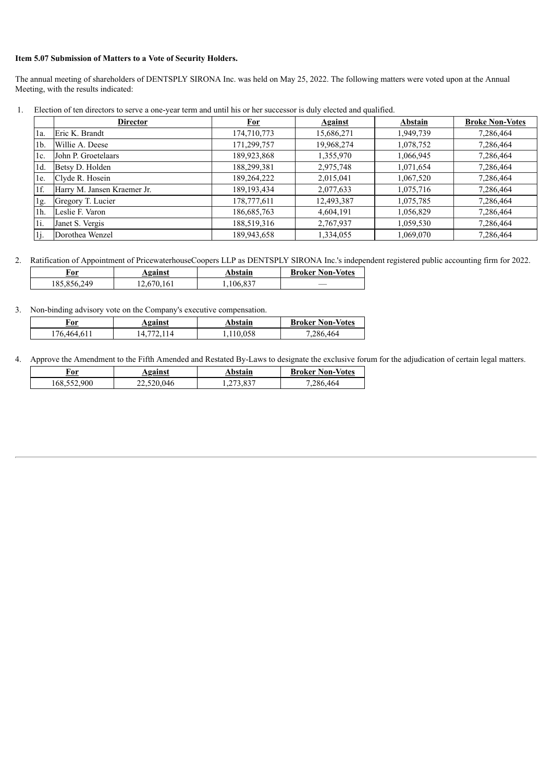#### **Item 5.07 Submission of Matters to a Vote of Security Holders.**

The annual meeting of shareholders of DENTSPLY SIRONA Inc. was held on May 25, 2022. The following matters were voted upon at the Annual Meeting, with the results indicated:

**Director For Against Abstain Broke Non-Votes** 1a. Eric K. Brandt 174,710,773 | 15,686,271 | 1,949,739 | 1,286,464 1b. Willie A. Deese 171,299,757 19,968,274 1,078,752 7,286,464 1c. John P. Groetelaars 189,923,868 1,355,970 1,066,945 7,286,464 1d. Betsy D. Holden 188,299,381 2,975,748 1,071,654 7,286,464 1e. Clyde R. Hosein 189,264,222 2,015,041 1,067,520 7,286,464 1f. Harry M. Jansen Kraemer Jr. 189,193,434 2,077,633 1,075,716 7,286,464 1g. Gregory T. Lucier 178,777,611 12,493,387 1,075,785 7,286,464 1h. Leslie F. Varon 186,685,763 4,604,191 1,056,829 7,286,464 1i. Janet S. Vergis 188,519,316 2,767,937 1,059,530 7,286,464 1j. Dorothea Wenzel 189,943,658 1,334,055 1,069,070 7,286,464

1. Election of ten directors to serve a one-year term and until his or her successor is duly elected and qualified.

2. Ratification of Appointment of PricewaterhouseCoopers LLP as DENTSPLY SIRONA Inc.'s independent registered public accounting firm for 2022.

| For         | <b>Against</b> | Abstain   | <b>Broker Non-Votes</b> |
|-------------|----------------|-----------|-------------------------|
| 185,856,249 | 12,670,161     | 1,106,837 |                         |

3. Non-binding advisory vote on the Company's executive compensation.

| For         | <b>Against</b> | Abstain  | <b>Broker Non-Votes</b> |
|-------------|----------------|----------|-------------------------|
| 176,464,611 |                | ,110,058 | 7,286,464               |

4. Approve the Amendment to the Fifth Amended and Restated By-Laws to designate the exclusive forum for the adjudication of certain legal matters.

| For         | <b>Against</b> | Abstain   | <b>Broker Non-Votes</b> |
|-------------|----------------|-----------|-------------------------|
| 168,552,900 | 22,520,046     | 1,273,837 | 7,286,464               |